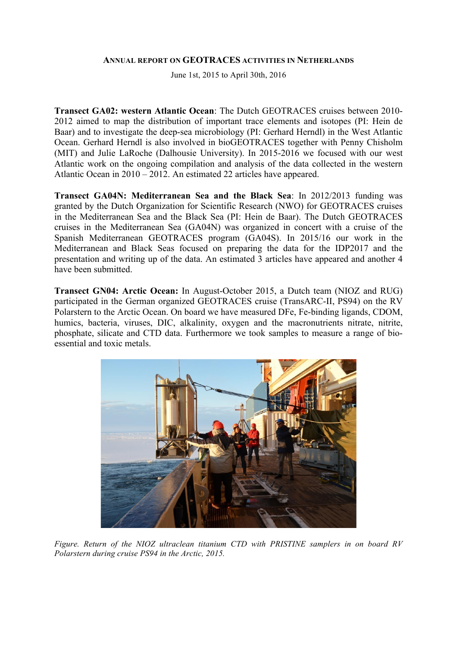#### **ANNUAL REPORT ON GEOTRACES ACTIVITIES IN NETHERLANDS**

June 1st, 2015 to April 30th, 2016

**Transect GA02: western Atlantic Ocean**: The Dutch GEOTRACES cruises between 2010- 2012 aimed to map the distribution of important trace elements and isotopes (PI: Hein de Baar) and to investigate the deep-sea microbiology (PI: Gerhard Herndl) in the West Atlantic Ocean. Gerhard Herndl is also involved in bioGEOTRACES together with Penny Chisholm (MIT) and Julie LaRoche (Dalhousie University). In 2015-2016 we focused with our west Atlantic work on the ongoing compilation and analysis of the data collected in the western Atlantic Ocean in 2010 – 2012. An estimated 22 articles have appeared.

**Transect GA04N: Mediterranean Sea and the Black Sea**: In 2012/2013 funding was granted by the Dutch Organization for Scientific Research (NWO) for GEOTRACES cruises in the Mediterranean Sea and the Black Sea (PI: Hein de Baar). The Dutch GEOTRACES cruises in the Mediterranean Sea (GA04N) was organized in concert with a cruise of the Spanish Mediterranean GEOTRACES program (GA04S). In 2015/16 our work in the Mediterranean and Black Seas focused on preparing the data for the IDP2017 and the presentation and writing up of the data. An estimated 3 articles have appeared and another 4 have been submitted.

**Transect GN04: Arctic Ocean:** In August-October 2015, a Dutch team (NIOZ and RUG) participated in the German organized GEOTRACES cruise (TransARC-II, PS94) on the RV Polarstern to the Arctic Ocean. On board we have measured DFe, Fe-binding ligands, CDOM, humics, bacteria, viruses, DIC, alkalinity, oxygen and the macronutrients nitrate, nitrite, phosphate, silicate and CTD data. Furthermore we took samples to measure a range of bioessential and toxic metals.



*Figure. Return of the NIOZ ultraclean titanium CTD with PRISTINE samplers in on board RV Polarstern during cruise PS94 in the Arctic, 2015.*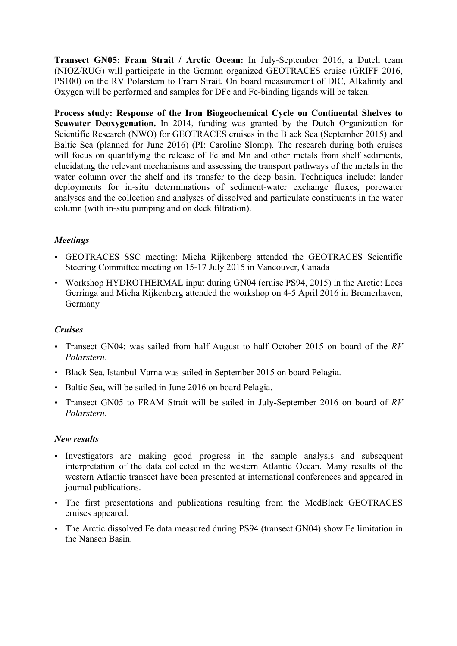**Transect GN05: Fram Strait / Arctic Ocean:** In July-September 2016, a Dutch team (NIOZ/RUG) will participate in the German organized GEOTRACES cruise (GRIFF 2016, PS100) on the RV Polarstern to Fram Strait. On board measurement of DIC, Alkalinity and Oxygen will be performed and samples for DFe and Fe-binding ligands will be taken.

**Process study: Response of the Iron Biogeochemical Cycle on Continental Shelves to Seawater Deoxygenation.** In 2014, funding was granted by the Dutch Organization for Scientific Research (NWO) for GEOTRACES cruises in the Black Sea (September 2015) and Baltic Sea (planned for June 2016) (PI: Caroline Slomp). The research during both cruises will focus on quantifying the release of Fe and Mn and other metals from shelf sediments, elucidating the relevant mechanisms and assessing the transport pathways of the metals in the water column over the shelf and its transfer to the deep basin. Techniques include: lander deployments for in-situ determinations of sediment-water exchange fluxes, porewater analyses and the collection and analyses of dissolved and particulate constituents in the water column (with in-situ pumping and on deck filtration).

# *Meetings*

- GEOTRACES SSC meeting: Micha Rijkenberg attended the GEOTRACES Scientific Steering Committee meeting on 15-17 July 2015 in Vancouver, Canada
- Workshop HYDROTHERMAL input during GN04 (cruise PS94, 2015) in the Arctic: Loes Gerringa and Micha Rijkenberg attended the workshop on 4-5 April 2016 in Bremerhaven, Germany

# *Cruises*

- Transect GN04: was sailed from half August to half October 2015 on board of the *RV Polarstern*.
- Black Sea, Istanbul-Varna was sailed in September 2015 on board Pelagia.
- Baltic Sea, will be sailed in June 2016 on board Pelagia.
- Transect GN05 to FRAM Strait will be sailed in July-September 2016 on board of *RV Polarstern.*

# *New results*

- Investigators are making good progress in the sample analysis and subsequent interpretation of the data collected in the western Atlantic Ocean. Many results of the western Atlantic transect have been presented at international conferences and appeared in journal publications.
- The first presentations and publications resulting from the MedBlack GEOTRACES cruises appeared.
- The Arctic dissolved Fe data measured during PS94 (transect GN04) show Fe limitation in the Nansen Basin.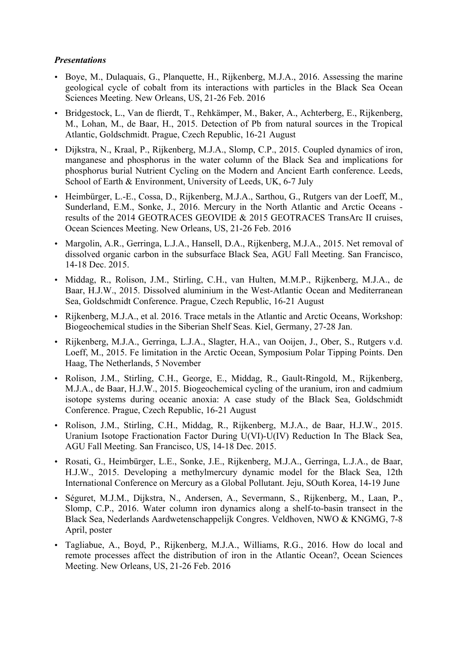## *Presentations*

- Boye, M., Dulaquais, G., Planquette, H., Rijkenberg, M.J.A., 2016. Assessing the marine geological cycle of cobalt from its interactions with particles in the Black Sea Ocean Sciences Meeting. New Orleans, US, 21-26 Feb. 2016
- Bridgestock, L., Van de flierdt, T., Rehkämper, M., Baker, A., Achterberg, E., Rijkenberg, M., Lohan, M., de Baar, H., 2015. Detection of Pb from natural sources in the Tropical Atlantic, Goldschmidt. Prague, Czech Republic, 16-21 August
- Dijkstra, N., Kraal, P., Rijkenberg, M.J.A., Slomp, C.P., 2015. Coupled dynamics of iron, manganese and phosphorus in the water column of the Black Sea and implications for phosphorus burial Nutrient Cycling on the Modern and Ancient Earth conference. Leeds, School of Earth & Environment, University of Leeds, UK, 6-7 July
- Heimbürger, L.-E., Cossa, D., Rijkenberg, M.J.A., Sarthou, G., Rutgers van der Loeff, M., Sunderland, E.M., Sonke, J., 2016. Mercury in the North Atlantic and Arctic Oceans results of the 2014 GEOTRACES GEOVIDE & 2015 GEOTRACES TransArc II cruises, Ocean Sciences Meeting. New Orleans, US, 21-26 Feb. 2016
- Margolin, A.R., Gerringa, L.J.A., Hansell, D.A., Rijkenberg, M.J.A., 2015. Net removal of dissolved organic carbon in the subsurface Black Sea, AGU Fall Meeting. San Francisco, 14-18 Dec. 2015.
- Middag, R., Rolison, J.M., Stirling, C.H., van Hulten, M.M.P., Rijkenberg, M.J.A., de Baar, H.J.W., 2015. Dissolved aluminium in the West-Atlantic Ocean and Mediterranean Sea, Goldschmidt Conference. Prague, Czech Republic, 16-21 August
- Rijkenberg, M.J.A., et al. 2016. Trace metals in the Atlantic and Arctic Oceans, Workshop: Biogeochemical studies in the Siberian Shelf Seas. Kiel, Germany, 27-28 Jan.
- Rijkenberg, M.J.A., Gerringa, L.J.A., Slagter, H.A., van Ooijen, J., Ober, S., Rutgers v.d. Loeff, M., 2015. Fe limitation in the Arctic Ocean, Symposium Polar Tipping Points. Den Haag, The Netherlands, 5 November
- Rolison, J.M., Stirling, C.H., George, E., Middag, R., Gault-Ringold, M., Rijkenberg, M.J.A., de Baar, H.J.W., 2015. Biogeochemical cycling of the uranium, iron and cadmium isotope systems during oceanic anoxia: A case study of the Black Sea, Goldschmidt Conference. Prague, Czech Republic, 16-21 August
- Rolison, J.M., Stirling, C.H., Middag, R., Rijkenberg, M.J.A., de Baar, H.J.W., 2015. Uranium Isotope Fractionation Factor During U(VI)-U(IV) Reduction In The Black Sea, AGU Fall Meeting. San Francisco, US, 14-18 Dec. 2015.
- Rosati, G., Heimbürger, L.E., Sonke, J.E., Rijkenberg, M.J.A., Gerringa, L.J.A., de Baar, H.J.W., 2015. Developing a methylmercury dynamic model for the Black Sea, 12th International Conference on Mercury as a Global Pollutant. Jeju, SOuth Korea, 14-19 June
- Séguret, M.J.M., Dijkstra, N., Andersen, A., Severmann, S., Rijkenberg, M., Laan, P., Slomp, C.P., 2016. Water column iron dynamics along a shelf-to-basin transect in the Black Sea, Nederlands Aardwetenschappelijk Congres. Veldhoven, NWO & KNGMG, 7-8 April, poster
- Tagliabue, A., Boyd, P., Rijkenberg, M.J.A., Williams, R.G., 2016. How do local and remote processes affect the distribution of iron in the Atlantic Ocean?, Ocean Sciences Meeting. New Orleans, US, 21-26 Feb. 2016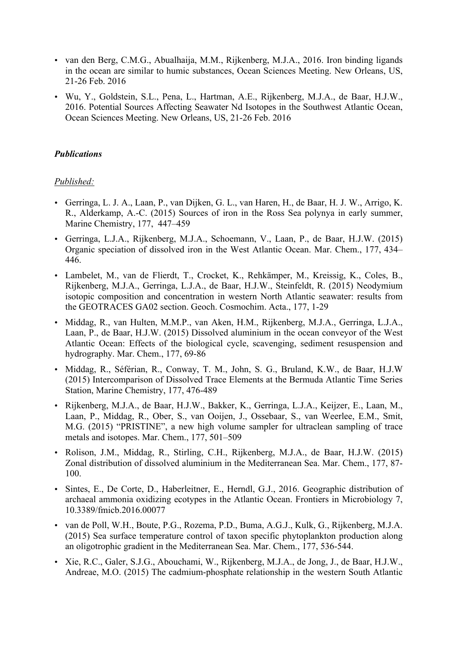- van den Berg, C.M.G., Abualhaija, M.M., Rijkenberg, M.J.A., 2016. Iron binding ligands in the ocean are similar to humic substances, Ocean Sciences Meeting. New Orleans, US, 21-26 Feb. 2016
- Wu, Y., Goldstein, S.L., Pena, L., Hartman, A.E., Rijkenberg, M.J.A., de Baar, H.J.W., 2016. Potential Sources Affecting Seawater Nd Isotopes in the Southwest Atlantic Ocean, Ocean Sciences Meeting. New Orleans, US, 21-26 Feb. 2016

## *Publications*

# *Published:*

- Gerringa, L. J. A., Laan, P., van Dijken, G. L., van Haren, H., de Baar, H. J. W., Arrigo, K. R., Alderkamp, A.-C. (2015) Sources of iron in the Ross Sea polynya in early summer, Marine Chemistry, 177, 447–459
- Gerringa, L.J.A., Rijkenberg, M.J.A., Schoemann, V., Laan, P., de Baar, H.J.W. (2015) Organic speciation of dissolved iron in the West Atlantic Ocean. Mar. Chem., 177, 434– 446.
- Lambelet, M., van de Flierdt, T., Crocket, K., Rehkämper, M., Kreissig, K., Coles, B., Rijkenberg, M.J.A., Gerringa, L.J.A., de Baar, H.J.W., Steinfeldt, R. (2015) Neodymium isotopic composition and concentration in western North Atlantic seawater: results from the GEOTRACES GA02 section. Geoch. Cosmochim. Acta., 177, 1-29
- Middag, R., van Hulten, M.M.P., van Aken, H.M., Rijkenberg, M.J.A., Gerringa, L.J.A., Laan, P., de Baar, H.J.W. (2015) Dissolved aluminium in the ocean conveyor of the West Atlantic Ocean: Effects of the biological cycle, scavenging, sediment resuspension and hydrography. Mar. Chem., 177, 69-86
- Middag, R., Séférian, R., Conway, T. M., John, S. G., Bruland, K.W., de Baar, H.J.W (2015) Intercomparison of Dissolved Trace Elements at the Bermuda Atlantic Time Series Station, Marine Chemistry, 177, 476-489
- Rijkenberg, M.J.A., de Baar, H.J.W., Bakker, K., Gerringa, L.J.A., Keijzer, E., Laan, M., Laan, P., Middag, R., Ober, S., van Ooijen, J., Ossebaar, S., van Weerlee, E.M., Smit, M.G. (2015) "PRISTINE", a new high volume sampler for ultraclean sampling of trace metals and isotopes. Mar. Chem., 177, 501–509
- Rolison, J.M., Middag, R., Stirling, C.H., Rijkenberg, M.J.A., de Baar, H.J.W. (2015) Zonal distribution of dissolved aluminium in the Mediterranean Sea. Mar. Chem., 177, 87- 100.
- Sintes, E., De Corte, D., Haberleitner, E., Herndl, G.J., 2016. Geographic distribution of archaeal ammonia oxidizing ecotypes in the Atlantic Ocean. Frontiers in Microbiology 7, 10.3389/fmicb.2016.00077
- van de Poll, W.H., Boute, P.G., Rozema, P.D., Buma, A.G.J., Kulk, G., Rijkenberg, M.J.A. (2015) Sea surface temperature control of taxon specific phytoplankton production along an oligotrophic gradient in the Mediterranean Sea. Mar. Chem., 177, 536-544.
- Xie, R.C., Galer, S.J.G., Abouchami, W., Rijkenberg, M.J.A., de Jong, J., de Baar, H.J.W., Andreae, M.O. (2015) The cadmium-phosphate relationship in the western South Atlantic